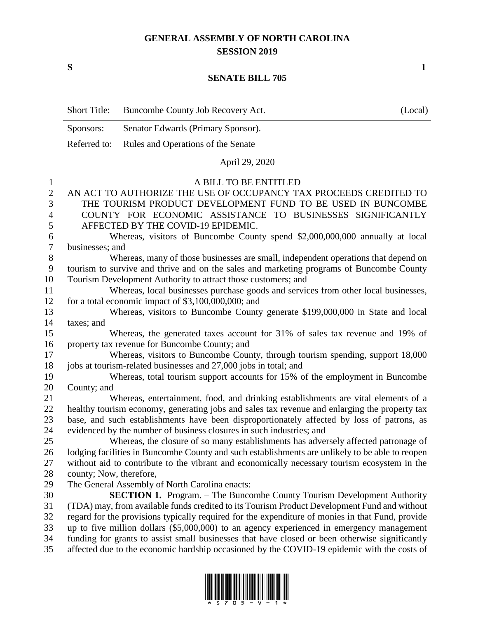## **GENERAL ASSEMBLY OF NORTH CAROLINA SESSION 2019**

**S 1**

## **SENATE BILL 705**

|                  | <b>Short Title:</b>                                                                              | Buncombe County Job Recovery Act.                                                        | (Local) |  |  |  |  |
|------------------|--------------------------------------------------------------------------------------------------|------------------------------------------------------------------------------------------|---------|--|--|--|--|
|                  | Sponsors:                                                                                        | Senator Edwards (Primary Sponsor).                                                       |         |  |  |  |  |
|                  | Referred to:                                                                                     | Rules and Operations of the Senate                                                       |         |  |  |  |  |
|                  |                                                                                                  | April 29, 2020                                                                           |         |  |  |  |  |
| $\mathbf{1}$     |                                                                                                  | A BILL TO BE ENTITLED                                                                    |         |  |  |  |  |
| $\overline{2}$   |                                                                                                  | AN ACT TO AUTHORIZE THE USE OF OCCUPANCY TAX PROCEEDS CREDITED TO                        |         |  |  |  |  |
| 3                | THE TOURISM PRODUCT DEVELOPMENT FUND TO BE USED IN BUNCOMBE                                      |                                                                                          |         |  |  |  |  |
| $\overline{4}$   | COUNTY FOR ECONOMIC ASSISTANCE TO BUSINESSES SIGNIFICANTLY                                       |                                                                                          |         |  |  |  |  |
| 5                | AFFECTED BY THE COVID-19 EPIDEMIC.                                                               |                                                                                          |         |  |  |  |  |
| 6                | Whereas, visitors of Buncombe County spend \$2,000,000,000 annually at local                     |                                                                                          |         |  |  |  |  |
| $\boldsymbol{7}$ |                                                                                                  | businesses; and                                                                          |         |  |  |  |  |
| $8\,$            |                                                                                                  | Whereas, many of those businesses are small, independent operations that depend on       |         |  |  |  |  |
| 9                |                                                                                                  | tourism to survive and thrive and on the sales and marketing programs of Buncombe County |         |  |  |  |  |
| 10               | Tourism Development Authority to attract those customers; and                                    |                                                                                          |         |  |  |  |  |
| 11               |                                                                                                  | Whereas, local businesses purchase goods and services from other local businesses,       |         |  |  |  |  |
| 12               |                                                                                                  | for a total economic impact of $$3,100,000,000$ ; and                                    |         |  |  |  |  |
| 13               |                                                                                                  | Whereas, visitors to Buncombe County generate \$199,000,000 in State and local           |         |  |  |  |  |
| 14               | taxes; and                                                                                       |                                                                                          |         |  |  |  |  |
| 15               |                                                                                                  | Whereas, the generated taxes account for 31% of sales tax revenue and 19% of             |         |  |  |  |  |
| 16               |                                                                                                  | property tax revenue for Buncombe County; and                                            |         |  |  |  |  |
| 17               |                                                                                                  | Whereas, visitors to Buncombe County, through tourism spending, support 18,000           |         |  |  |  |  |
| 18               |                                                                                                  | jobs at tourism-related businesses and 27,000 jobs in total; and                         |         |  |  |  |  |
| 19               |                                                                                                  | Whereas, total tourism support accounts for 15% of the employment in Buncombe            |         |  |  |  |  |
| 20               | County; and                                                                                      |                                                                                          |         |  |  |  |  |
| 21               |                                                                                                  | Whereas, entertainment, food, and drinking establishments are vital elements of a        |         |  |  |  |  |
| 22               | healthy tourism economy, generating jobs and sales tax revenue and enlarging the property tax    |                                                                                          |         |  |  |  |  |
| 23               | base, and such establishments have been disproportionately affected by loss of patrons, as       |                                                                                          |         |  |  |  |  |
| 24               |                                                                                                  | evidenced by the number of business closures in such industries; and                     |         |  |  |  |  |
| 25               | Whereas, the closure of so many establishments has adversely affected patronage of               |                                                                                          |         |  |  |  |  |
| 26               | lodging facilities in Buncombe County and such establishments are unlikely to be able to reopen  |                                                                                          |         |  |  |  |  |
| 27               | without aid to contribute to the vibrant and economically necessary tourism ecosystem in the     |                                                                                          |         |  |  |  |  |
| 28               |                                                                                                  | county; Now, therefore,                                                                  |         |  |  |  |  |
| 29               |                                                                                                  | The General Assembly of North Carolina enacts:                                           |         |  |  |  |  |
| 30               |                                                                                                  | <b>SECTION 1.</b> Program. - The Buncombe County Tourism Development Authority           |         |  |  |  |  |
| 31               | (TDA) may, from available funds credited to its Tourism Product Development Fund and without     |                                                                                          |         |  |  |  |  |
| 32               | regard for the provisions typically required for the expenditure of monies in that Fund, provide |                                                                                          |         |  |  |  |  |
| 33               | up to five million dollars (\$5,000,000) to an agency experienced in emergency management        |                                                                                          |         |  |  |  |  |
| 34               | funding for grants to assist small businesses that have closed or been otherwise significantly   |                                                                                          |         |  |  |  |  |
| 35               | affected due to the economic hardship occasioned by the COVID-19 epidemic with the costs of      |                                                                                          |         |  |  |  |  |

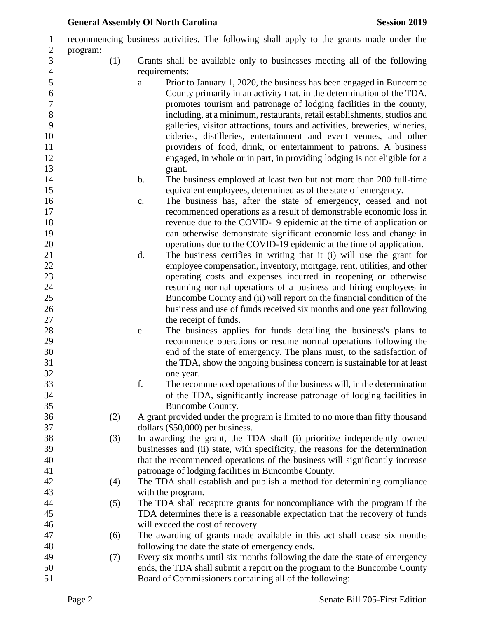| <b>Session 2019</b><br><b>General Assembly Of North Carolina</b> |     |               |                                                                                                                                                                                                                                                                                                                                                                                                                                                                                                                                                                                                                |  |
|------------------------------------------------------------------|-----|---------------|----------------------------------------------------------------------------------------------------------------------------------------------------------------------------------------------------------------------------------------------------------------------------------------------------------------------------------------------------------------------------------------------------------------------------------------------------------------------------------------------------------------------------------------------------------------------------------------------------------------|--|
| program:                                                         |     |               | recommencing business activities. The following shall apply to the grants made under the                                                                                                                                                                                                                                                                                                                                                                                                                                                                                                                       |  |
|                                                                  | (1) |               | Grants shall be available only to businesses meeting all of the following                                                                                                                                                                                                                                                                                                                                                                                                                                                                                                                                      |  |
|                                                                  |     | requirements: |                                                                                                                                                                                                                                                                                                                                                                                                                                                                                                                                                                                                                |  |
|                                                                  |     | a.            | Prior to January 1, 2020, the business has been engaged in Buncombe<br>County primarily in an activity that, in the determination of the TDA,<br>promotes tourism and patronage of lodging facilities in the county,<br>including, at a minimum, restaurants, retail establishments, studios and<br>galleries, visitor attractions, tours and activities, breweries, wineries,<br>cideries, distilleries, entertainment and event venues, and other<br>providers of food, drink, or entertainment to patrons. A business<br>engaged, in whole or in part, in providing lodging is not eligible for a<br>grant. |  |
|                                                                  |     | b.            | The business employed at least two but not more than 200 full-time                                                                                                                                                                                                                                                                                                                                                                                                                                                                                                                                             |  |
|                                                                  |     |               | equivalent employees, determined as of the state of emergency.                                                                                                                                                                                                                                                                                                                                                                                                                                                                                                                                                 |  |
|                                                                  |     | c.            | The business has, after the state of emergency, ceased and not                                                                                                                                                                                                                                                                                                                                                                                                                                                                                                                                                 |  |
|                                                                  |     |               | recommenced operations as a result of demonstrable economic loss in                                                                                                                                                                                                                                                                                                                                                                                                                                                                                                                                            |  |
|                                                                  |     |               | revenue due to the COVID-19 epidemic at the time of application or                                                                                                                                                                                                                                                                                                                                                                                                                                                                                                                                             |  |
|                                                                  |     |               | can otherwise demonstrate significant economic loss and change in                                                                                                                                                                                                                                                                                                                                                                                                                                                                                                                                              |  |
|                                                                  |     |               | operations due to the COVID-19 epidemic at the time of application.                                                                                                                                                                                                                                                                                                                                                                                                                                                                                                                                            |  |
|                                                                  |     | d.            | The business certifies in writing that it (i) will use the grant for                                                                                                                                                                                                                                                                                                                                                                                                                                                                                                                                           |  |
|                                                                  |     |               | employee compensation, inventory, mortgage, rent, utilities, and other                                                                                                                                                                                                                                                                                                                                                                                                                                                                                                                                         |  |
|                                                                  |     |               | operating costs and expenses incurred in reopening or otherwise                                                                                                                                                                                                                                                                                                                                                                                                                                                                                                                                                |  |
|                                                                  |     |               | resuming normal operations of a business and hiring employees in                                                                                                                                                                                                                                                                                                                                                                                                                                                                                                                                               |  |
|                                                                  |     |               | Buncombe County and (ii) will report on the financial condition of the                                                                                                                                                                                                                                                                                                                                                                                                                                                                                                                                         |  |
|                                                                  |     |               | business and use of funds received six months and one year following<br>the receipt of funds.                                                                                                                                                                                                                                                                                                                                                                                                                                                                                                                  |  |
|                                                                  |     | e.            | The business applies for funds detailing the business's plans to                                                                                                                                                                                                                                                                                                                                                                                                                                                                                                                                               |  |
|                                                                  |     |               | recommence operations or resume normal operations following the                                                                                                                                                                                                                                                                                                                                                                                                                                                                                                                                                |  |
|                                                                  |     |               | end of the state of emergency. The plans must, to the satisfaction of                                                                                                                                                                                                                                                                                                                                                                                                                                                                                                                                          |  |
|                                                                  |     |               | the TDA, show the ongoing business concern is sustainable for at least                                                                                                                                                                                                                                                                                                                                                                                                                                                                                                                                         |  |
|                                                                  |     |               | one year.                                                                                                                                                                                                                                                                                                                                                                                                                                                                                                                                                                                                      |  |
|                                                                  |     | f.            | The recommenced operations of the business will, in the determination                                                                                                                                                                                                                                                                                                                                                                                                                                                                                                                                          |  |
|                                                                  |     |               | of the TDA, significantly increase patronage of lodging facilities in                                                                                                                                                                                                                                                                                                                                                                                                                                                                                                                                          |  |
|                                                                  |     |               | Buncombe County.                                                                                                                                                                                                                                                                                                                                                                                                                                                                                                                                                                                               |  |
|                                                                  | (2) |               | A grant provided under the program is limited to no more than fifty thousand                                                                                                                                                                                                                                                                                                                                                                                                                                                                                                                                   |  |
|                                                                  |     |               | dollars $(\$50,000)$ per business.                                                                                                                                                                                                                                                                                                                                                                                                                                                                                                                                                                             |  |
|                                                                  | (3) |               | In awarding the grant, the TDA shall (i) prioritize independently owned                                                                                                                                                                                                                                                                                                                                                                                                                                                                                                                                        |  |
|                                                                  |     |               | businesses and (ii) state, with specificity, the reasons for the determination                                                                                                                                                                                                                                                                                                                                                                                                                                                                                                                                 |  |
|                                                                  |     |               | that the recommenced operations of the business will significantly increase                                                                                                                                                                                                                                                                                                                                                                                                                                                                                                                                    |  |
|                                                                  |     |               | patronage of lodging facilities in Buncombe County.                                                                                                                                                                                                                                                                                                                                                                                                                                                                                                                                                            |  |
|                                                                  | (4) |               | The TDA shall establish and publish a method for determining compliance                                                                                                                                                                                                                                                                                                                                                                                                                                                                                                                                        |  |
|                                                                  | (5) |               | with the program.<br>The TDA shall recapture grants for noncompliance with the program if the                                                                                                                                                                                                                                                                                                                                                                                                                                                                                                                  |  |
|                                                                  |     |               | TDA determines there is a reasonable expectation that the recovery of funds                                                                                                                                                                                                                                                                                                                                                                                                                                                                                                                                    |  |
|                                                                  |     |               | will exceed the cost of recovery.                                                                                                                                                                                                                                                                                                                                                                                                                                                                                                                                                                              |  |
|                                                                  | (6) |               | The awarding of grants made available in this act shall cease six months                                                                                                                                                                                                                                                                                                                                                                                                                                                                                                                                       |  |
|                                                                  |     |               | following the date the state of emergency ends.                                                                                                                                                                                                                                                                                                                                                                                                                                                                                                                                                                |  |
|                                                                  | (7) |               | Every six months until six months following the date the state of emergency                                                                                                                                                                                                                                                                                                                                                                                                                                                                                                                                    |  |
|                                                                  |     |               | ends, the TDA shall submit a report on the program to the Buncombe County                                                                                                                                                                                                                                                                                                                                                                                                                                                                                                                                      |  |
|                                                                  |     |               | Board of Commissioners containing all of the following:                                                                                                                                                                                                                                                                                                                                                                                                                                                                                                                                                        |  |